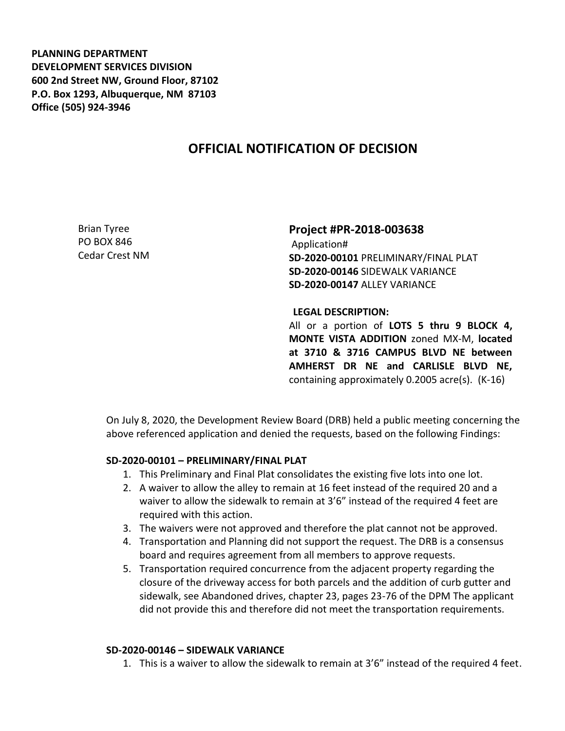**PLANNING DEPARTMENT DEVELOPMENT SERVICES DIVISION 600 2nd Street NW, Ground Floor, 87102 P.O. Box 1293, Albuquerque, NM 87103 Office (505) 924-3946** 

## **OFFICIAL NOTIFICATION OF DECISION**

Brian Tyree PO BOX 846 Cedar Crest NM **Project #PR-2018-003638** Application# **SD-2020-00101** PRELIMINARY/FINAL PLAT **SD-2020-00146** SIDEWALK VARIANCE **SD-2020-00147** ALLEY VARIANCE

**LEGAL DESCRIPTION:**

All or a portion of **LOTS 5 thru 9 BLOCK 4, MONTE VISTA ADDITION** zoned MX-M, **located at 3710 & 3716 CAMPUS BLVD NE between AMHERST DR NE and CARLISLE BLVD NE,** containing approximately 0.2005 acre(s). (K-16)

On July 8, 2020, the Development Review Board (DRB) held a public meeting concerning the above referenced application and denied the requests, based on the following Findings:

## **SD-2020-00101 – PRELIMINARY/FINAL PLAT**

- 1. This Preliminary and Final Plat consolidates the existing five lots into one lot.
- 2. A waiver to allow the alley to remain at 16 feet instead of the required 20 and a waiver to allow the sidewalk to remain at 3'6" instead of the required 4 feet are required with this action.
- 3. The waivers were not approved and therefore the plat cannot not be approved.
- 4. Transportation and Planning did not support the request. The DRB is a consensus board and requires agreement from all members to approve requests.
- 5. Transportation required concurrence from the adjacent property regarding the closure of the driveway access for both parcels and the addition of curb gutter and sidewalk, see Abandoned drives, chapter 23, pages 23-76 of the DPM The applicant did not provide this and therefore did not meet the transportation requirements.

## **SD-2020-00146 – SIDEWALK VARIANCE**

1. This is a waiver to allow the sidewalk to remain at 3'6" instead of the required 4 feet.